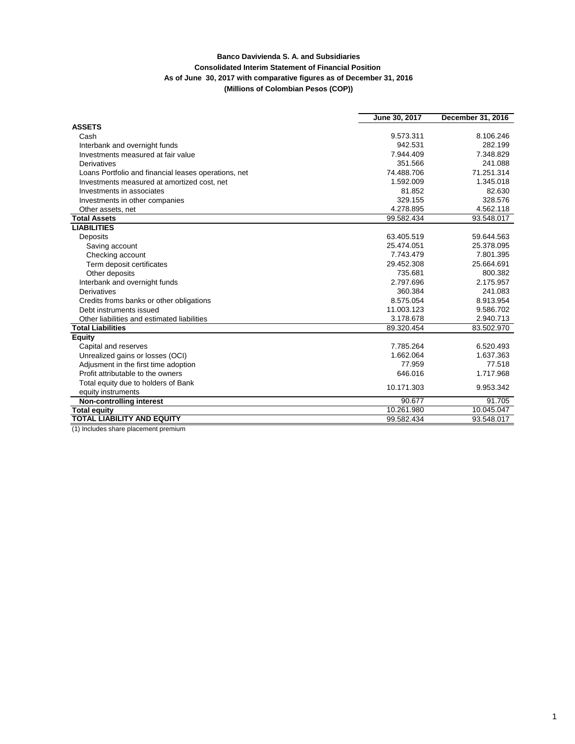## **Banco Davivienda S. A. and Subsidiaries Consolidated Interim Statement of Financial Position As of June 30, 2017 with comparative figures as of December 31, 2016 (Millions of Colombian Pesos (COP))**

|                                                      | June 30, 2017 | December 31, 2016 |  |
|------------------------------------------------------|---------------|-------------------|--|
| <b>ASSETS</b>                                        |               |                   |  |
| Cash                                                 | 9.573.311     | 8.106.246         |  |
| Interbank and overnight funds                        | 942.531       | 282.199           |  |
| Investments measured at fair value                   | 7.944.409     | 7.348.829         |  |
| Derivatives                                          | 351.566       | 241.088           |  |
| Loans Portfolio and financial leases operations, net | 74.488.706    | 71.251.314        |  |
| Investments measured at amortized cost, net          | 1.592.009     | 1.345.018         |  |
| Investments in associates                            | 81.852        | 82.630            |  |
| Investments in other companies                       | 329.155       | 328.576           |  |
| Other assets, net                                    | 4.278.895     | 4.562.118         |  |
| <b>Total Assets</b>                                  | 99.582.434    | 93.548.017        |  |
| <b>LIABILITIES</b>                                   |               |                   |  |
| Deposits                                             | 63.405.519    | 59.644.563        |  |
| Saving account                                       | 25.474.051    | 25.378.095        |  |
| Checking account                                     | 7.743.479     | 7.801.395         |  |
| Term deposit certificates                            | 29.452.308    | 25.664.691        |  |
| Other deposits                                       | 735.681       | 800.382           |  |
| Interbank and overnight funds                        | 2.797.696     | 2.175.957         |  |
| Derivatives                                          | 360.384       | 241.083           |  |
| Credits froms banks or other obligations             | 8.575.054     | 8.913.954         |  |
| Debt instruments issued                              | 11.003.123    | 9.586.702         |  |
| Other liabilities and estimated liabilities          | 3.178.678     | 2.940.713         |  |
| <b>Total Liabilities</b>                             | 89.320.454    | 83.502.970        |  |
| <b>Equity</b>                                        |               |                   |  |
| Capital and reserves                                 | 7.785.264     | 6.520.493         |  |
| Unrealized gains or losses (OCI)                     | 1.662.064     | 1.637.363         |  |
| Adjusment in the first time adoption                 | 77.959        | 77.518            |  |
| Profit attributable to the owners                    | 646.016       | 1.717.968         |  |
| Total equity due to holders of Bank                  | 10.171.303    | 9.953.342         |  |
| equity instruments                                   |               |                   |  |
| Non-controlling interest                             | 90.677        | 91.705            |  |
| <b>Total equity</b>                                  | 10.261.980    | 10.045.047        |  |
| <b>TOTAL LIABILITY AND EQUITY</b><br>$\overline{u}$  | 99.582.434    | 93.548.017        |  |

(1) Includes share placement premium